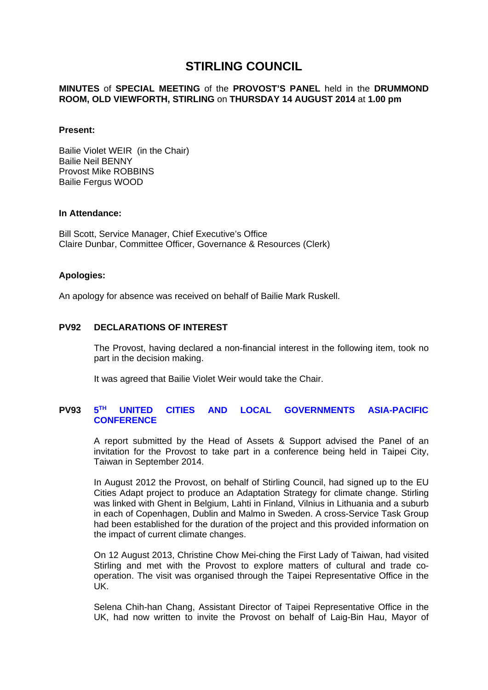# **STIRLING COUNCIL**

### **MINUTES** of **SPECIAL MEETING** of the **PROVOST'S PANEL** held in the **DRUMMOND ROOM, OLD VIEWFORTH, STIRLING** on **THURSDAY 14 AUGUST 2014** at **1.00 pm**

#### **Present:**

Bailie Violet WEIR (in the Chair) Bailie Neil BENNY Provost Mike ROBBINS Bailie Fergus WOOD

#### **In Attendance:**

Bill Scott, Service Manager, Chief Executive's Office Claire Dunbar, Committee Officer, Governance & Resources (Clerk)

### **Apologies:**

An apology for absence was received on behalf of Bailie Mark Ruskell.

## **PV92 DECLARATIONS OF INTEREST**

The Provost, having declared a non-financial interest in the following item, took no part in the decision making.

It was agreed that Bailie Violet Weir would take the Chair.

#### **PV93 5 TH UNITED CITIES AND LOCAL GOVERNMENTS ASIA-PACIFIC CONFERENCE**

A report submitted by the Head of Assets & Support advised the Panel of an invitation for the Provost to take part in a conference being held in Taipei City, Taiwan in September 2014.

In August 2012 the Provost, on behalf of Stirling Council, had signed up to the EU Cities Adapt project to produce an Adaptation Strategy for climate change. Stirling was linked with Ghent in Belgium, Lahti in Finland, Vilnius in Lithuania and a suburb in each of Copenhagen, Dublin and Malmo in Sweden. A cross-Service Task Group had been established for the duration of the project and this provided information on the impact of current climate changes.

On 12 August 2013, Christine Chow Mei-ching the First Lady of Taiwan, had visited Stirling and met with the Provost to explore matters of cultural and trade cooperation. The visit was organised through the Taipei Representative Office in the UK.

Selena Chih-han Chang, Assistant Director of Taipei Representative Office in the UK, had now written to invite the Provost on behalf of Laig-Bin Hau, Mayor of